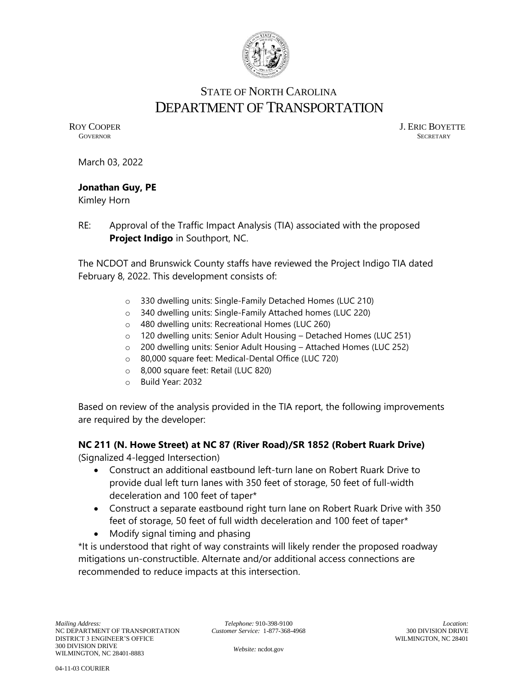

# STATE OF NORTH CAROLINA DEPARTMENT OF TRANSPORTATION

ROY COOPER J. ERIC BOYETTE GOVERNOR SECRETARY **GOVERNOR** SECRETARY

March 03, 2022

#### **Jonathan Guy, PE**

Kimley Horn

RE: Approval of the Traffic Impact Analysis (TIA) associated with the proposed **Project Indigo** in Southport, NC.

The NCDOT and Brunswick County staffs have reviewed the Project Indigo TIA dated February 8, 2022. This development consists of:

- o 330 dwelling units: Single-Family Detached Homes (LUC 210)
- o 340 dwelling units: Single-Family Attached homes (LUC 220)
- o 480 dwelling units: Recreational Homes (LUC 260)
- o 120 dwelling units: Senior Adult Housing Detached Homes (LUC 251)
- o 200 dwelling units: Senior Adult Housing Attached Homes (LUC 252)
- o 80,000 square feet: Medical-Dental Office (LUC 720)
- o 8,000 square feet: Retail (LUC 820)
- o Build Year: 2032

Based on review of the analysis provided in the TIA report, the following improvements are required by the developer:

# **NC 211 (N. Howe Street) at NC 87 (River Road)/SR 1852 (Robert Ruark Drive)**

(Signalized 4-legged Intersection)

- Construct an additional eastbound left-turn lane on Robert Ruark Drive to provide dual left turn lanes with 350 feet of storage, 50 feet of full-width deceleration and 100 feet of taper\*
- Construct a separate eastbound right turn lane on Robert Ruark Drive with 350 feet of storage, 50 feet of full width deceleration and 100 feet of taper\*
- Modify signal timing and phasing

\*It is understood that right of way constraints will likely render the proposed roadway mitigations un-constructible. Alternate and/or additional access connections are recommended to reduce impacts at this intersection.

*Telephone:* 910-398-9100 *Customer Service:* 1-877-368-4968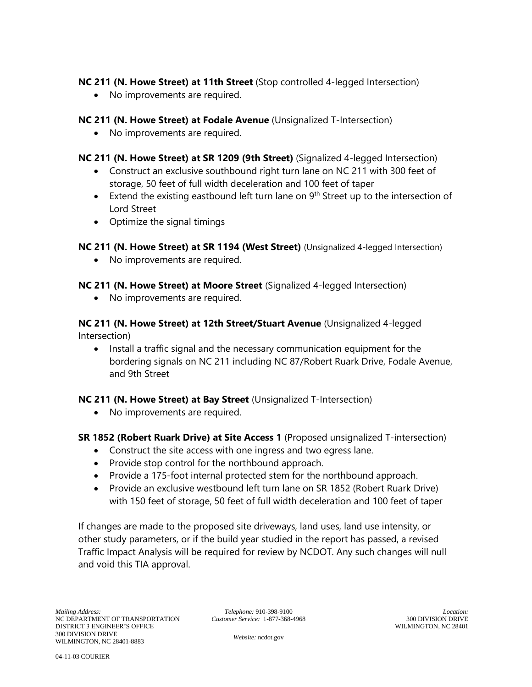### **NC 211 (N. Howe Street) at 11th Street** (Stop controlled 4-legged Intersection)

• No improvements are required.

#### **NC 211 (N. Howe Street) at Fodale Avenue** (Unsignalized T-Intersection)

- No improvements are required.
- **NC 211 (N. Howe Street) at SR 1209 (9th Street)** (Signalized 4-legged Intersection)
	- Construct an exclusive southbound right turn lane on NC 211 with 300 feet of storage, 50 feet of full width deceleration and 100 feet of taper
	- Extend the existing eastbound left turn lane on  $9<sup>th</sup>$  Street up to the intersection of Lord Street
	- Optimize the signal timings

#### **NC 211 (N. Howe Street) at SR 1194 (West Street)** (Unsignalized 4-legged Intersection)

• No improvements are required.

#### **NC 211 (N. Howe Street) at Moore Street** (Signalized 4-legged Intersection)

• No improvements are required.

**NC 211 (N. Howe Street) at 12th Street/Stuart Avenue** (Unsignalized 4-legged Intersection)

• Install a traffic signal and the necessary communication equipment for the bordering signals on NC 211 including NC 87/Robert Ruark Drive, Fodale Avenue, and 9th Street

## **NC 211 (N. Howe Street) at Bay Street** (Unsignalized T-Intersection)

• No improvements are required.

#### **SR 1852 (Robert Ruark Drive) at Site Access 1** (Proposed unsignalized T-intersection)

- Construct the site access with one ingress and two egress lane.
- Provide stop control for the northbound approach.
- Provide a 175-foot internal protected stem for the northbound approach.
- Provide an exclusive westbound left turn lane on SR 1852 (Robert Ruark Drive) with 150 feet of storage, 50 feet of full width deceleration and 100 feet of taper

If changes are made to the proposed site driveways, land uses, land use intensity, or other study parameters, or if the build year studied in the report has passed, a revised Traffic Impact Analysis will be required for review by NCDOT. Any such changes will null and void this TIA approval.